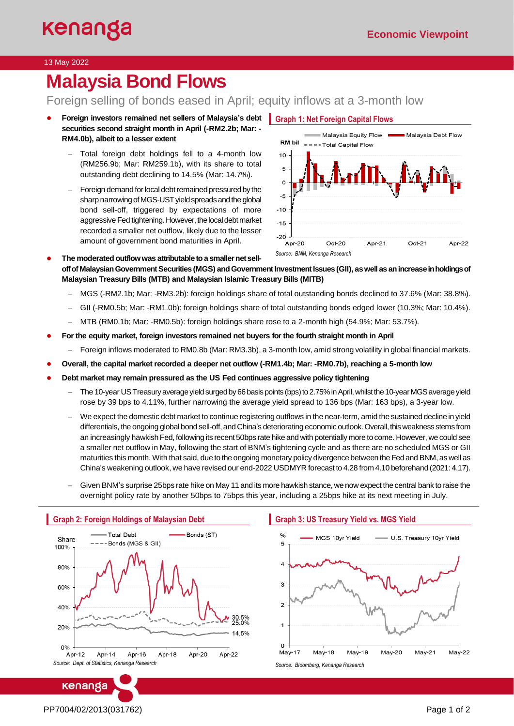### 13 May 2022

# **Malaysia Bond Flows**

# Foreign selling of bonds eased in April; equity inflows at a 3-month low

- **Foreign investors remained net sellers of Malaysia's debt Graph 1: Net Foreign Capital Flows securities second straight month in April (-RM2.2b; Mar: - RM4.0b), albeit to a lesser extent**
	- − Total foreign debt holdings fell to a 4-month low (RM256.9b; Mar: RM259.1b), with its share to total outstanding debt declining to 14.5% (Mar: 14.7%).
	- Foreign demand for local debt remained pressured by the sharp narrowing of MGS-UST yield spreads and the global bond sell-off, triggered by expectations of more aggressive Fed tightening.However, the local debt market recorded a smaller net outflow, likely due to the lesser amount of government bond maturities in April.



- The moderated outflow was attributable to a smaller net sell**off of Malaysian Government Securities (MGS) andGovernment Investment Issues (GII), as well as an increase in holdings of Malaysian Treasury Bills (MTB) and Malaysian Islamic Treasury Bills (MITB)**
	- − MGS (-RM2.1b; Mar: -RM3.2b): foreign holdings share of total outstanding bonds declined to 37.6% (Mar: 38.8%).
	- − GII (-RM0.5b; Mar: -RM1.0b): foreign holdings share of total outstanding bonds edged lower (10.3%; Mar: 10.4%).
	- − MTB (RM0.1b; Mar: -RM0.5b): foreign holdings share rose to a 2-month high (54.9%; Mar: 53.7%).
- **For the equity market, foreign investors remained net buyers for the fourth straight month in April**
	- − Foreign inflows moderated to RM0.8b (Mar: RM3.3b), a 3-month low, amid strong volatility in global financial markets.
- **Overall, the capital market recorded a deeper net outflow (-RM1.4b; Mar: -RM0.7b), reaching a 5-month low**
- Debt market may remain pressured as the US Fed continues aggressive policy tightening
	- − The 10-year US Treasury average yield surgedby 66basis points (bps) to 2.75% in April, whilst the 10-year MGS average yield rose by 39 bps to 4.11%, further narrowing the average yield spread to 136 bps (Mar: 163 bps), a 3-year low.
	- − We expect the domestic debt market to continue registering outflows in the near-term, amid the sustained decline in yield differentials, the ongoing global bond sell-off, and China's deteriorating economic outlook. Overall, this weakness stems from an increasingly hawkish Fed, following its recent 50bps rate hike and with potentially more to come. However, we could see a smaller net outflow in May, following the start of BNM's tightening cycle and as there are no scheduled MGS or GII maturities this month. With that said, due to the ongoing monetary policy divergence between the Fed and BNM, as well as China's weakening outlook, we have revised our end-2022 USDMYR forecast to 4.28 from 4.10 beforehand (2021: 4.17).
	- − Given BNM's surprise 25bps rate hike on May 11 and its more hawkish stance, we now expect the central bank to raise the overnight policy rate by another 50bps to 75bps this year, including a 25bps hike at its next meeting in July.



#### **Graph 3: US Treasury Yield vs. MGS Yield**